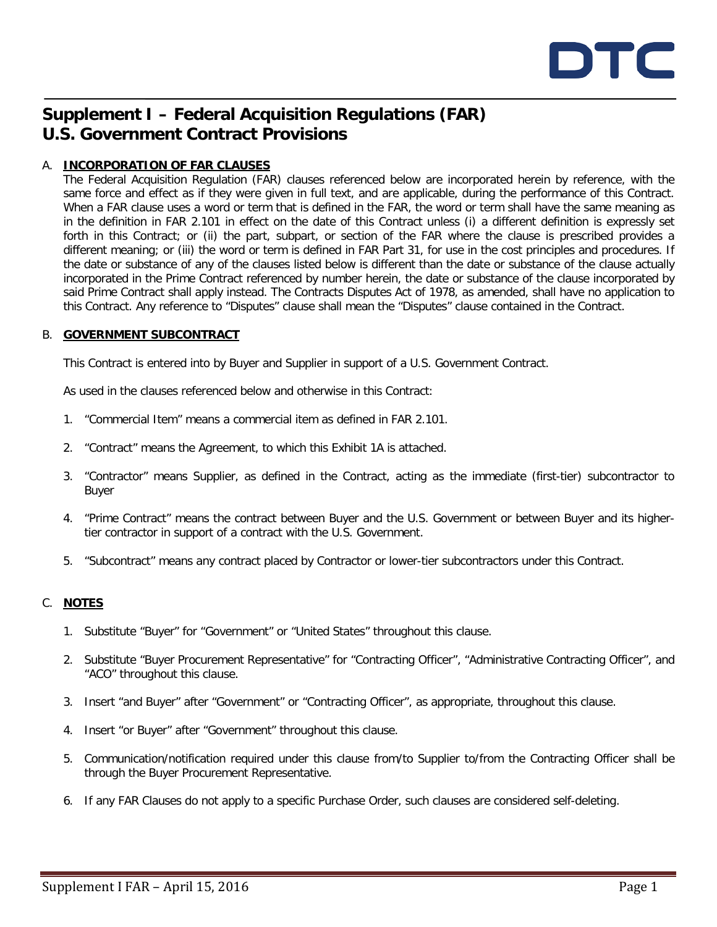

# **Supplement I – Federal Acquisition Regulations (FAR) U.S. Government Contract Provisions**

# A. **INCORPORATION OF FAR CLAUSES**

The Federal Acquisition Regulation (FAR) clauses referenced below are incorporated herein by reference, with the same force and effect as if they were given in full text, and are applicable, during the performance of this Contract. When a FAR clause uses a word or term that is defined in the FAR, the word or term shall have the same meaning as in the definition in FAR 2.101 in effect on the date of this Contract unless (i) a different definition is expressly set forth in this Contract; or (ii) the part, subpart, or section of the FAR where the clause is prescribed provides a different meaning; or (iii) the word or term is defined in FAR Part 31, for use in the cost principles and procedures. If the date or substance of any of the clauses listed below is different than the date or substance of the clause actually incorporated in the Prime Contract referenced by number herein, the date or substance of the clause incorporated by said Prime Contract shall apply instead. The Contracts Disputes Act of 1978, as amended, shall have no application to this Contract. Any reference to "Disputes" clause shall mean the "Disputes" clause contained in the Contract.

### B. **GOVERNMENT SUBCONTRACT**

This Contract is entered into by Buyer and Supplier in support of a U.S. Government Contract.

As used in the clauses referenced below and otherwise in this Contract:

- 1. "Commercial Item" means a commercial item as defined in FAR 2.101.
- 2. "Contract" means the Agreement, to which this Exhibit 1A is attached.
- 3. "Contractor" means Supplier, as defined in the Contract, acting as the immediate (first-tier) subcontractor to Buyer
- 4. "Prime Contract" means the contract between Buyer and the U.S. Government or between Buyer and its highertier contractor in support of a contract with the U.S. Government.
- 5. "Subcontract" means any contract placed by Contractor or lower-tier subcontractors under this Contract.

# C. **NOTES**

- 1. Substitute "Buyer" for "Government" or "United States" throughout this clause.
- 2. Substitute "Buyer Procurement Representative" for "Contracting Officer", "Administrative Contracting Officer", and "ACO" throughout this clause.
- 3. Insert "and Buyer" after "Government" or "Contracting Officer", as appropriate, throughout this clause.
- 4. Insert "or Buyer" after "Government" throughout this clause.
- 5. Communication/notification required under this clause from/to Supplier to/from the Contracting Officer shall be through the Buyer Procurement Representative.
- 6. If any FAR Clauses do not apply to a specific Purchase Order, such clauses are considered self-deleting.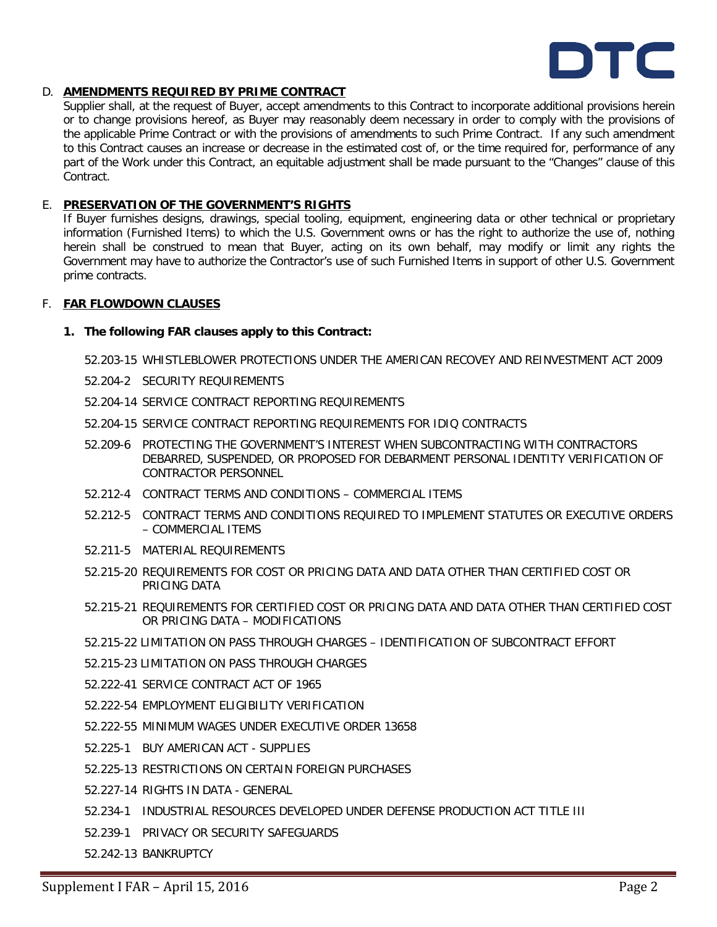

# D. **AMENDMENTS REQUIRED BY PRIME CONTRACT**

Supplier shall, at the request of Buyer, accept amendments to this Contract to incorporate additional provisions herein or to change provisions hereof, as Buyer may reasonably deem necessary in order to comply with the provisions of the applicable Prime Contract or with the provisions of amendments to such Prime Contract. If any such amendment to this Contract causes an increase or decrease in the estimated cost of, or the time required for, performance of any part of the Work under this Contract, an equitable adjustment shall be made pursuant to the "Changes" clause of this Contract.

### E. **PRESERVATION OF THE GOVERNMENT'S RIGHTS**

If Buyer furnishes designs, drawings, special tooling, equipment, engineering data or other technical or proprietary information (Furnished Items) to which the U.S. Government owns or has the right to authorize the use of, nothing herein shall be construed to mean that Buyer, acting on its own behalf, may modify or limit any rights the Government may have to authorize the Contractor's use of such Furnished Items in support of other U.S. Government prime contracts.

### F. **FAR FLOWDOWN CLAUSES**

### **1. The following FAR clauses apply to this Contract:**

52.203-15 WHISTLEBLOWER PROTECTIONS UNDER THE AMERICAN RECOVEY AND REINVESTMENT ACT 2009

- 52.204-2 SECURITY REQUIREMENTS
- 52.204-14 SERVICE CONTRACT REPORTING REQUIREMENTS
- 52.204-15 SERVICE CONTRACT REPORTING REQUIREMENTS FOR IDIQ CONTRACTS
- 52.209-6 PROTECTING THE GOVERNMENT'S INTEREST WHEN SUBCONTRACTING WITH CONTRACTORS DEBARRED, SUSPENDED, OR PROPOSED FOR DEBARMENT PERSONAL IDENTITY VERIFICATION OF CONTRACTOR PERSONNEL
- 52.212-4 CONTRACT TERMS AND CONDITIONS COMMERCIAL ITEMS
- 52.212-5 CONTRACT TERMS AND CONDITIONS REQUIRED TO IMPLEMENT STATUTES OR EXECUTIVE ORDERS – COMMERCIAL ITEMS
- 52.211-5 MATERIAL REQUIREMENTS
- 52.215-20 REQUIREMENTS FOR COST OR PRICING DATA AND DATA OTHER THAN CERTIFIED COST OR PRICING DATA
- 52.215-21 REQUIREMENTS FOR CERTIFIED COST OR PRICING DATA AND DATA OTHER THAN CERTIFIED COST OR PRICING DATA – MODIFICATIONS
- 52.215-22 LIMITATION ON PASS THROUGH CHARGES IDENTIFICATION OF SUBCONTRACT EFFORT
- 52.215-23 LIMITATION ON PASS THROUGH CHARGES
- 52.222-41 SERVICE CONTRACT ACT OF 1965
- 52.222-54 EMPLOYMENT ELIGIBILITY VERIFICATION
- 52.222-55 MINIMUM WAGES UNDER EXECUTIVE ORDER 13658
- 52.225-1 BUY AMERICAN ACT SUPPLIES
- 52.225-13 RESTRICTIONS ON CERTAIN FOREIGN PURCHASES
- 52.227-14 RIGHTS IN DATA GENERAL
- 52.234-1 INDUSTRIAL RESOURCES DEVELOPED UNDER DEFENSE PRODUCTION ACT TITLE III
- 52.239-1 PRIVACY OR SECURITY SAFEGUARDS
- 52.242-13 BANKRUPTCY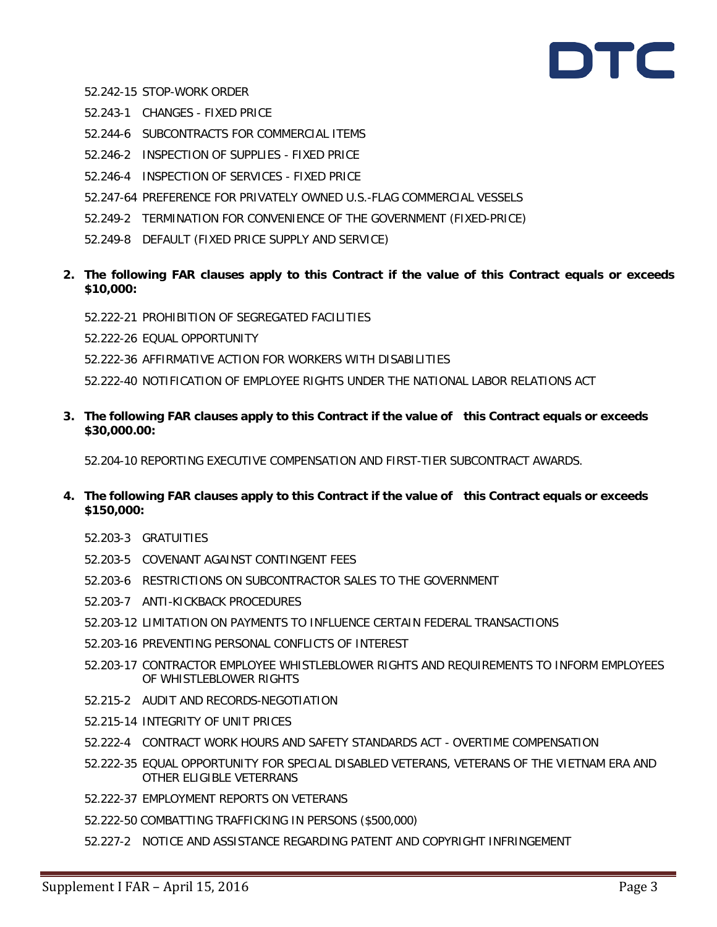# DTC

- 52.242-15 STOP-WORK ORDER
- 52.243-1 CHANGES FIXED PRICE
- 52.244-6 SUBCONTRACTS FOR COMMERCIAL ITEMS
- 52.246-2 INSPECTION OF SUPPLIES FIXED PRICE
- 52.246-4 INSPECTION OF SERVICES FIXED PRICE
- 52.247-64 PREFERENCE FOR PRIVATELY OWNED U.S.-FLAG COMMERCIAL VESSELS
- 52.249-2 TERMINATION FOR CONVENIENCE OF THE GOVERNMENT (FIXED-PRICE)
- 52.249-8 DEFAULT (FIXED PRICE SUPPLY AND SERVICE)
- **2. The following FAR clauses apply to this Contract if the value of this Contract equals or exceeds \$10,000:**
	- 52.222-21 PROHIBITION OF SEGREGATED FACILITIES
	- 52.222-26 EQUAL OPPORTUNITY
	- 52.222-36 AFFIRMATIVE ACTION FOR WORKERS WITH DISABILITIES
	- 52.222-40 NOTIFICATION OF EMPLOYEE RIGHTS UNDER THE NATIONAL LABOR RELATIONS ACT
- **3. The following FAR clauses apply to this Contract if the value of this Contract equals or exceeds \$30,000.00:**

52.204-10 REPORTING EXECUTIVE COMPENSATION AND FIRST-TIER SUBCONTRACT AWARDS.

- **4. The following FAR clauses apply to this Contract if the value of this Contract equals or exceeds \$150,000:**
	- 52.203-3 GRATUITIES
	- 52.203-5 COVENANT AGAINST CONTINGENT FEES
	- 52.203-6 RESTRICTIONS ON SUBCONTRACTOR SALES TO THE GOVERNMENT
	- 52.203-7 ANTI-KICKBACK PROCEDURES
	- 52.203-12 LIMITATION ON PAYMENTS TO INFLUENCE CERTAIN FEDERAL TRANSACTIONS
	- 52.203-16 PREVENTING PERSONAL CONFLICTS OF INTEREST
	- 52.203-17 CONTRACTOR EMPLOYEE WHISTLEBLOWER RIGHTS AND REQUIREMENTS TO INFORM EMPLOYEES OF WHISTLEBLOWER RIGHTS
	- 52.215-2 AUDIT AND RECORDS-NEGOTIATION
	- 52.215-14 INTEGRITY OF UNIT PRICES
	- 52.222-4 CONTRACT WORK HOURS AND SAFETY STANDARDS ACT OVERTIME COMPENSATION
	- 52.222-35 EQUAL OPPORTUNITY FOR SPECIAL DISABLED VETERANS, VETERANS OF THE VIETNAM ERA AND OTHER ELIGIBLE VETERRANS
	- 52.222-37 EMPLOYMENT REPORTS ON VETERANS
	- 52.222-50 COMBATTING TRAFFICKING IN PERSONS (\$500,000)
	- 52.227-2 NOTICE AND ASSISTANCE REGARDING PATENT AND COPYRIGHT INFRINGEMENT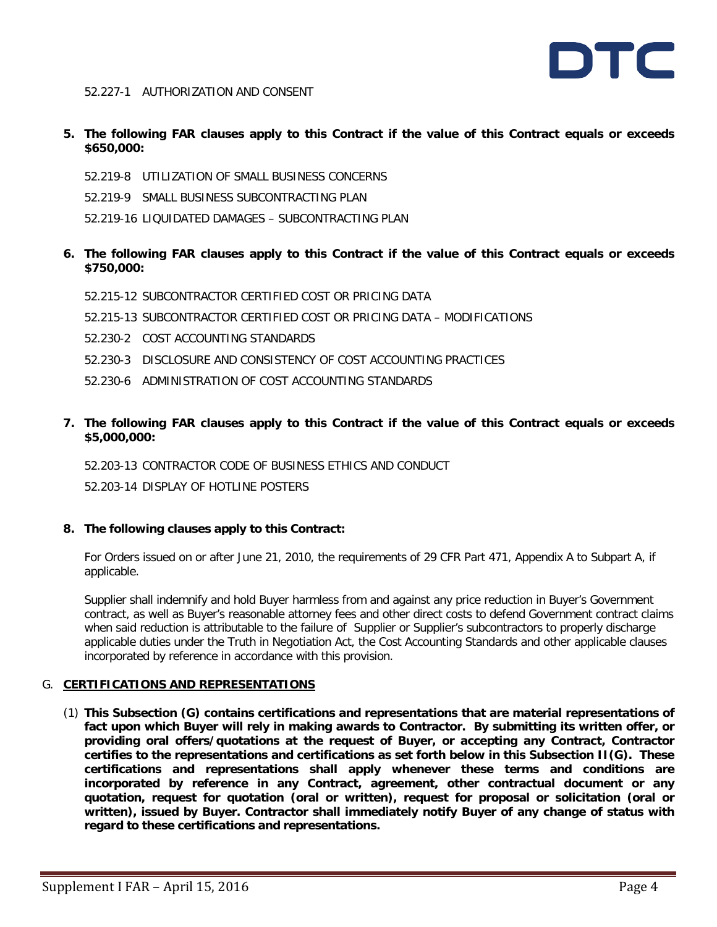

### 52.227-1 AUTHORIZATION AND CONSENT

- **5. The following FAR clauses apply to this Contract if the value of this Contract equals or exceeds \$650,000:**
	- 52.219-8 UTILIZATION OF SMALL BUSINESS CONCERNS
	- 52.219-9 SMALL BUSINESS SUBCONTRACTING PLAN
	- 52.219-16 LIQUIDATED DAMAGES SUBCONTRACTING PLAN
- **6. The following FAR clauses apply to this Contract if the value of this Contract equals or exceeds \$750,000:**
	- 52.215-12 SUBCONTRACTOR CERTIFIED COST OR PRICING DATA
	- 52.215-13 SUBCONTRACTOR CERTIFIED COST OR PRICING DATA MODIFICATIONS
	- 52.230-2 COST ACCOUNTING STANDARDS
	- 52.230-3 DISCLOSURE AND CONSISTENCY OF COST ACCOUNTING PRACTICES
	- 52.230-6 ADMINISTRATION OF COST ACCOUNTING STANDARDS
- **7. The following FAR clauses apply to this Contract if the value of this Contract equals or exceeds \$5,000,000:**
	- 52.203-13 CONTRACTOR CODE OF BUSINESS ETHICS AND CONDUCT

52.203-14 DISPLAY OF HOTLINE POSTERS

**8. The following clauses apply to this Contract:**

For Orders issued on or after June 21, 2010, the requirements of 29 CFR Part 471, Appendix A to Subpart A, if applicable.

Supplier shall indemnify and hold Buyer harmless from and against any price reduction in Buyer's Government contract, as well as Buyer's reasonable attorney fees and other direct costs to defend Government contract claims when said reduction is attributable to the failure of Supplier or Supplier's subcontractors to properly discharge applicable duties under the Truth in Negotiation Act, the Cost Accounting Standards and other applicable clauses incorporated by reference in accordance with this provision.

# G. **CERTIFICATIONS AND REPRESENTATIONS**

(1) **This Subsection (G) contains certifications and representations that are material representations of fact upon which Buyer will rely in making awards to Contractor. By submitting its written offer, or providing oral offers/quotations at the request of Buyer, or accepting any Contract, Contractor certifies to the representations and certifications as set forth below in this Subsection II(G). These certifications and representations shall apply whenever these terms and conditions are incorporated by reference in any Contract, agreement, other contractual document or any quotation, request for quotation (oral or written), request for proposal or solicitation (oral or written), issued by Buyer. Contractor shall immediately notify Buyer of any change of status with regard to these certifications and representations.**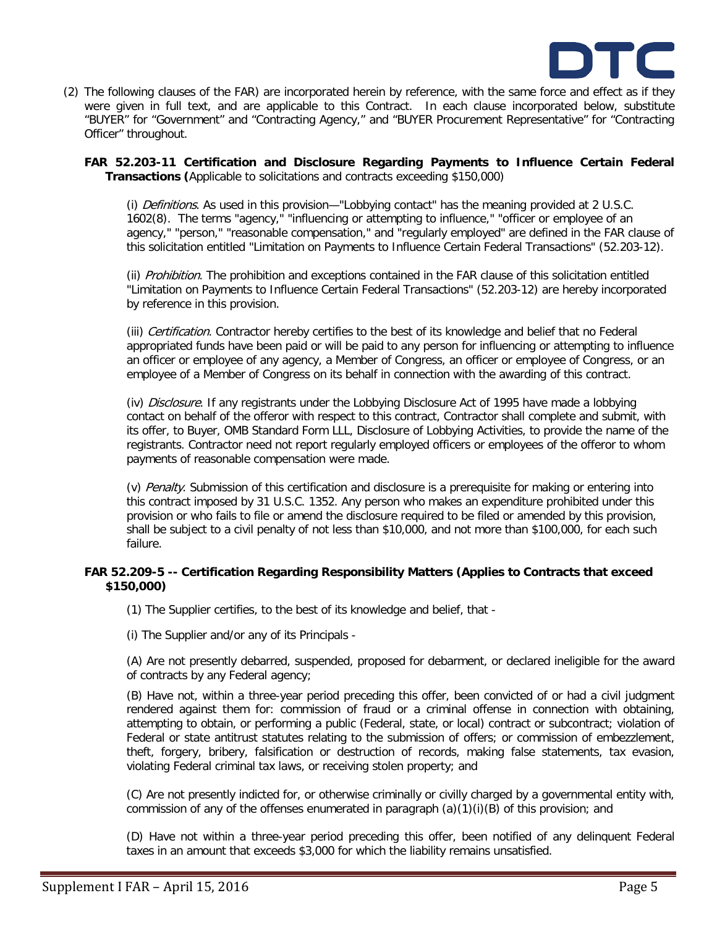

(2) The following clauses of the FAR) are incorporated herein by reference, with the same force and effect as if they were given in full text, and are applicable to this Contract. In each clause incorporated below, substitute "BUYER" for "Government" and "Contracting Agency," and "BUYER Procurement Representative" for "Contracting Officer" throughout.

**FAR 52.203-11 Certification and Disclosure Regarding Payments to Influence Certain Federal Transactions (**Applicable to solicitations and contracts exceeding \$150,000)

(i) Definitions. As used in this provision—"Lobbying contact" has the meaning provided at 2 U.S.C. 1602(8). The terms "agency," "influencing or attempting to influence," "officer or employee of an agency," "person," "reasonable compensation," and "regularly employed" are defined in the FAR clause of this solicitation entitled "Limitation on Payments to Influence Certain Federal Transactions" (52.203-12).

(ii) Prohibition. The prohibition and exceptions contained in the FAR clause of this solicitation entitled "Limitation on Payments to Influence Certain Federal Transactions" (52.203-12) are hereby incorporated by reference in this provision.

(iii) Certification. Contractor hereby certifies to the best of its knowledge and belief that no Federal appropriated funds have been paid or will be paid to any person for influencing or attempting to influence an officer or employee of any agency, a Member of Congress, an officer or employee of Congress, or an employee of a Member of Congress on its behalf in connection with the awarding of this contract.

(iv) Disclosure. If any registrants under the Lobbying Disclosure Act of 1995 have made a lobbying contact on behalf of the offeror with respect to this contract, Contractor shall complete and submit, with its offer, to Buyer, OMB Standard Form LLL, Disclosure of Lobbying Activities, to provide the name of the registrants. Contractor need not report regularly employed officers or employees of the offeror to whom payments of reasonable compensation were made.

(v) Penalty. Submission of this certification and disclosure is a prerequisite for making or entering into this contract imposed by 31 U.S.C. 1352. Any person who makes an expenditure prohibited under this provision or who fails to file or amend the disclosure required to be filed or amended by this provision, shall be subject to a civil penalty of not less than \$10,000, and not more than \$100,000, for each such failure.

# **FAR 52.209-5 -- Certification Regarding Responsibility Matters (Applies to Contracts that exceed \$150,000)**

(1) The Supplier certifies, to the best of its knowledge and belief, that -

(i) The Supplier and/or any of its Principals -

(A) Are not presently debarred, suspended, proposed for debarment, or declared ineligible for the award of contracts by any Federal agency;

(B) Have not, within a three-year period preceding this offer, been convicted of or had a civil judgment rendered against them for: commission of fraud or a criminal offense in connection with obtaining, attempting to obtain, or performing a public (Federal, state, or local) contract or subcontract; violation of Federal or state antitrust statutes relating to the submission of offers; or commission of embezzlement, theft, forgery, bribery, falsification or destruction of records, making false statements, tax evasion, violating Federal criminal tax laws, or receiving stolen property; and

(C) Are not presently indicted for, or otherwise criminally or civilly charged by a governmental entity with, commission of any of the offenses enumerated in paragraph  $(a)(1)(i)(B)$  of this provision; and

(D) Have not within a three-year period preceding this offer, been notified of any delinquent Federal taxes in an amount that exceeds \$3,000 for which the liability remains unsatisfied.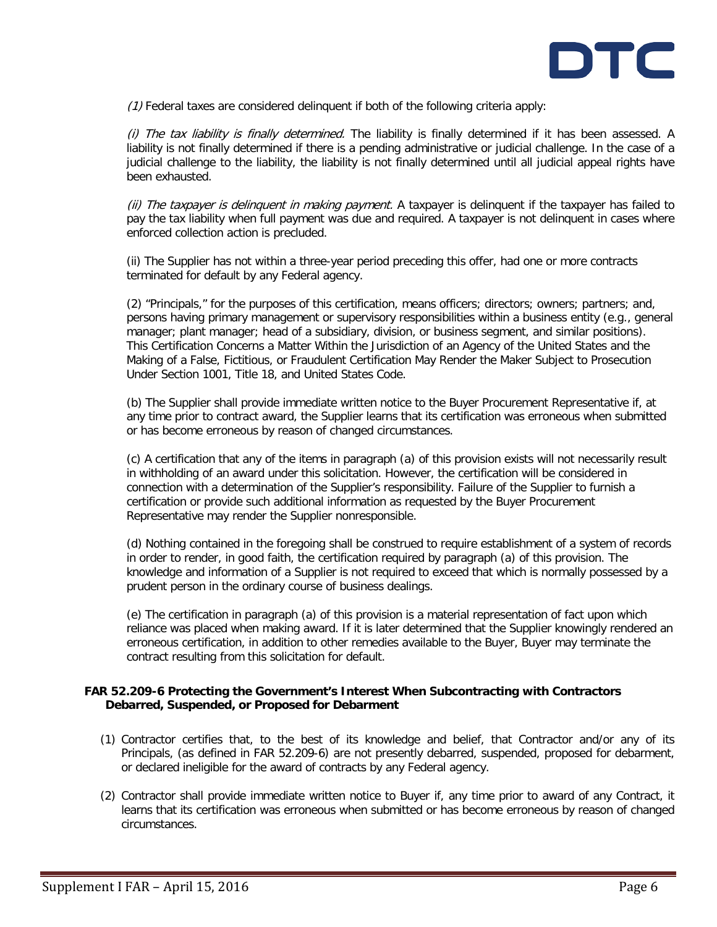

 $(1)$  Federal taxes are considered delinguent if both of the following criteria apply:

(i) The tax liability is finally determined. The liability is finally determined if it has been assessed. A liability is not finally determined if there is a pending administrative or judicial challenge. In the case of a judicial challenge to the liability, the liability is not finally determined until all judicial appeal rights have been exhausted.

(ii) The taxpayer is delinquent in making payment. A taxpayer is delinquent if the taxpayer has failed to pay the tax liability when full payment was due and required. A taxpayer is not delinquent in cases where enforced collection action is precluded.

(ii) The Supplier has not within a three-year period preceding this offer, had one or more contracts terminated for default by any Federal agency.

(2) "Principals," for the purposes of this certification, means officers; directors; owners; partners; and, persons having primary management or supervisory responsibilities within a business entity (e.g., general manager; plant manager; head of a subsidiary, division, or business segment, and similar positions). This Certification Concerns a Matter Within the Jurisdiction of an Agency of the United States and the Making of a False, Fictitious, or Fraudulent Certification May Render the Maker Subject to Prosecution Under Section 1001, Title 18, and United States Code.

(b) The Supplier shall provide immediate written notice to the Buyer Procurement Representative if, at any time prior to contract award, the Supplier learns that its certification was erroneous when submitted or has become erroneous by reason of changed circumstances.

(c) A certification that any of the items in paragraph (a) of this provision exists will not necessarily result in withholding of an award under this solicitation. However, the certification will be considered in connection with a determination of the Supplier's responsibility. Failure of the Supplier to furnish a certification or provide such additional information as requested by the Buyer Procurement Representative may render the Supplier nonresponsible.

(d) Nothing contained in the foregoing shall be construed to require establishment of a system of records in order to render, in good faith, the certification required by paragraph (a) of this provision. The knowledge and information of a Supplier is not required to exceed that which is normally possessed by a prudent person in the ordinary course of business dealings.

(e) The certification in paragraph (a) of this provision is a material representation of fact upon which reliance was placed when making award. If it is later determined that the Supplier knowingly rendered an erroneous certification, in addition to other remedies available to the Buyer, Buyer may terminate the contract resulting from this solicitation for default.

# **FAR 52.209-6 Protecting the Government's Interest When Subcontracting with Contractors Debarred, Suspended, or Proposed for Debarment**

- (1) Contractor certifies that, to the best of its knowledge and belief, that Contractor and/or any of its Principals, (as defined in FAR 52.209-6) are not presently debarred, suspended, proposed for debarment, or declared ineligible for the award of contracts by any Federal agency.
- (2) Contractor shall provide immediate written notice to Buyer if, any time prior to award of any Contract, it learns that its certification was erroneous when submitted or has become erroneous by reason of changed circumstances.